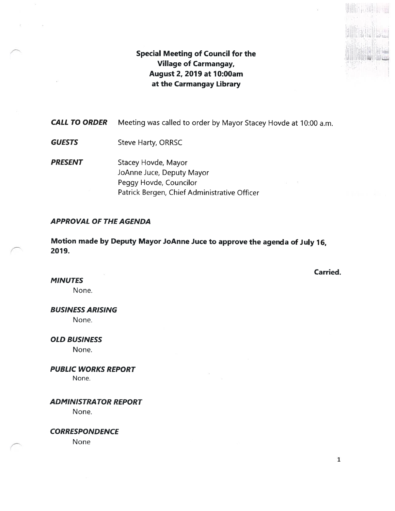# Special Meeting of Council for the Village of Carmangay, August 2, 2019 at 10:00am at the Carmangay Library

CALL TO ORDER Meeting was called to order by Mayor Stacey Hovde at 10:00 a.m.

- **GUESTS** Steve Harty, ORRSC
- PRESENT Stacey Hovde, Mayor JoAnne Juce, Deputy Mayor Peggy Hovde, Councilor Patrick Bergen, Chief Administrative Officer

# APPROVAL OF THE AGENDA

Motion made by Deputy Mayor JoAnne Juce to approve the agenda of July 16, 2079.

Carried.

 $\mathbb{E}[\mathbf{u}_1]$ 

**MINUTES** 

None.

BUSINESS ARISING

None.

OLD BUSINESS

None.

PUBLIC WORKS REPORT None.

ADMINISTRATOR REPORT

None.

**CORRESPONDENCE** 

None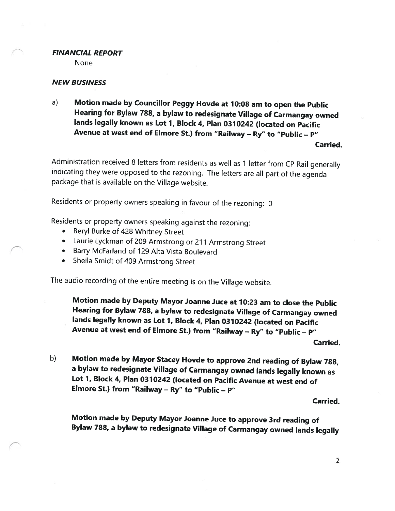### FINANCIAL REPORT

None

## NEW BUSINESS

a) Motion made by Councillor Peggy Hovde at <sup>7</sup> 0:08 am to open the Public Hearing for Bylaw 788, <sup>a</sup> bylaw to redesignate Village of Carmangay owned lands legally known as Lot 7, Block 4, Plan <sup>0370242</sup> (located on Pacific Avenue at west end of Elmore St.) from "Railway — Ry" to "Public — P"

Carried.

Administration received <sup>8</sup> letters from residents as well as <sup>1</sup> letter from CP Rail generally indicating they were opposed to the rezoning. The letters are all part of the agenda package that is available on the Village website.

Residents or property owners speaking in favour of the rezoning: <sup>0</sup>

Residents or property owners speaking against the rezoning:

- •Beryl Burke of 428 Whitney Street
- Laurie Lyckman of <sup>209</sup> Armstrong or <sup>211</sup> Armstrong Street
- Barry McFarland of 129 Alta Vista Boulevard
- •Sheila Smidt of <sup>409</sup> Armstrong Street

The audio recording of the entire meeting is on the Village website.

Motion made by Deputy Mayor Joanne Juce at 10:23 am to close the Public Hearing for Bylaw 788, <sup>a</sup> bylaw to redesignate Village of Carmangay owned lands legally known as Lot 1, Block 4, Plan <sup>0310242</sup> (located on Pacific Avenue at west end of Elmore St.) from "Railway — Ry" to "Public — P"

Carried.

b) Motion made by Mayor Stacey Hovde to approve 2nd reading of Bylaw 788, <sup>a</sup> bylaw to redesignate Village of Carmangay owned lands legally known as Lot 1, Block 4, Plan 0310242 (located on Pacific Avenue at west end of Elmore St.) from "Railway — Ry" to "Public — P"

Carried.

Motion made by Deputy Mayor Joanne Juce to approve 3rd reading of Bylaw 788, <sup>a</sup> bylaw to redesignate Village of Carmangay owned lands legally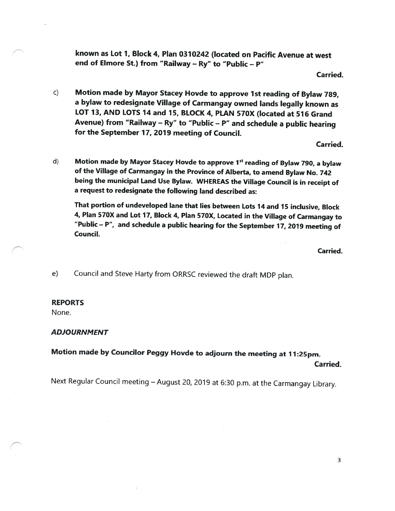known as Lot 1, Block 4, Plan <sup>0310242</sup> (located on Pacific Avenue at west end of Elmore St.) from "Railway — Ry" to "Public — P"

Carried.

c) Motion made by Mayor Stacey Hovde to approve 1st reading of Bylaw 789, <sup>a</sup> bylaw to redesignate Village of Carmangay owned lands legally known as LOT 13, AND LOTS <sup>14</sup> and 15, BLOCK 4, PLAN 570X (located at <sup>516</sup> Grand Avenue) from "Railway — Ry" to "Public — P" and schedule <sup>a</sup> public hearing for the September 17, <sup>2019</sup> meeting of Council.

Carried.

d) Motion made by Mayor Stacey Hovde to approve 1<sup>st</sup> reading of Bylaw 790, a bylaw of the Village of Carmangay in the Province of Alberta, to amend Bylaw No. <sup>742</sup> being the municipal Land Use Bylaw. WHEREAS the Village Council is in receipt of <sup>a</sup> request to redesignate the following land described as:

That portion of undeveloped lane that lies between Lots <sup>74</sup> and <sup>15</sup> inclusive, Block 4, Plan 570X and Lot 17, Block 4, Plan 570X, Located in the Village of Carmangay to "Public — P", and schedule <sup>a</sup> public hearing for the September 77, <sup>2019</sup> meeting of Council.

Carried.

e) Council and Steve Harty from ORRSC reviewed the draft MDP <sup>p</sup>lan.

### REPORTS

None.

### ADJOURNMENT

# Motion made by Councilor Peggy Hovde to adjourn the meeting at 11:25pm.

Carried.

Next Regular Council meeting — August 20, <sup>2019</sup> at 6:30 p.m. at the Carmangay Library.

3